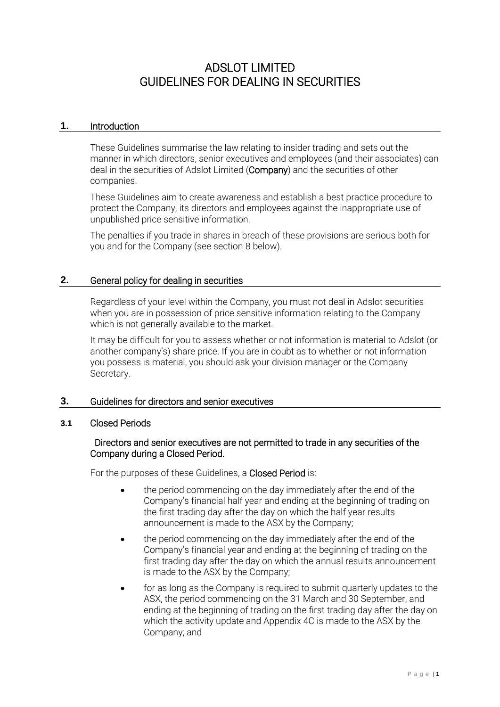# ADSLOT LIMITED GUIDELINES FOR DEALING IN SECURITIES

# **1.** Introduction

These Guidelines summarise the law relating to insider trading and sets out the manner in which directors, senior executives and employees (and their associates) can deal in the securities of Adslot Limited (Company) and the securities of other companies.

These Guidelines aim to create awareness and establish a best practice procedure to protect the Company, its directors and employees against the inappropriate use of unpublished price sensitive information.

The penalties if you trade in shares in breach of these provisions are serious both for you and for the Company (see section [8](#page-5-0) below).

# **2.** General policy for dealing in securities

Regardless of your level within the Company, you must not deal in Adslot securities when you are in possession of price sensitive information relating to the Company which is not generally available to the market.

It may be difficult for you to assess whether or not information is material to Adslot (or another company's) share price. If you are in doubt as to whether or not information you possess is material, you should ask your division manager or the Company Secretary.

# **3.** Guidelines for directors and senior executives

# <span id="page-0-0"></span>**3.1** Closed Periods

# Directors and senior executives are not permitted to trade in any securities of the Company during a Closed Period.

For the purposes of these Guidelines, a Closed Period is:

- the period commencing on the day immediately after the end of the Company's financial half year and ending at the beginning of trading on the first trading day after the day on which the half year results announcement is made to the ASX by the Company;
- the period commencing on the day immediately after the end of the Company's financial year and ending at the beginning of trading on the first trading day after the day on which the annual results announcement is made to the ASX by the Company;
- for as long as the Company is required to submit quarterly updates to the ASX, the period commencing on the 31 March and 30 September, and ending at the beginning of trading on the first trading day after the day on which the activity update and Appendix 4C is made to the ASX by the Company; and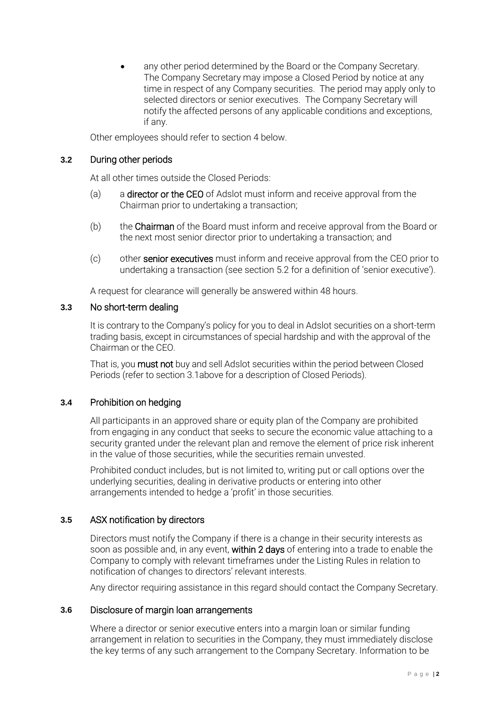any other period determined by the Board or the Company Secretary. The Company Secretary may impose a Closed Period by notice at any time in respect of any Company securities. The period may apply only to selected directors or senior executives. The Company Secretary will notify the affected persons of any applicable conditions and exceptions, if any.

Other employees should refer to section 4 below.

# **3.2** During other periods

At all other times outside the Closed Periods:

- (a) a director or the CEO of Adslot must inform and receive approval from the Chairman prior to undertaking a transaction;
- (b) the Chairman of the Board must inform and receive approval from the Board or the next most senior director prior to undertaking a transaction; and
- (c) other senior executives must inform and receive approval from the CEO prior to undertaking a transaction (see section 5.2 for a definition of 'senior executive').

A request for clearance will generally be answered within 48 hours.

# **3.3** No short-term dealing

It is contrary to the Company's policy for you to deal in Adslot securities on a short-term trading basis, except in circumstances of special hardship and with the approval of the Chairman or the CEO.

That is, you must not buy and sell Adslot securities within the period between Closed Periods (refer to sectio[n 3.1a](#page-0-0)bove for a description of Closed Periods).

# **3.4** Prohibition on hedging

All participants in an approved share or equity plan of the Company are prohibited from engaging in any conduct that seeks to secure the economic value attaching to a security granted under the relevant plan and remove the element of price risk inherent in the value of those securities, while the securities remain unvested.

Prohibited conduct includes, but is not limited to, writing put or call options over the underlying securities, dealing in derivative products or entering into other arrangements intended to hedge a 'profit' in those securities.

# **3.5** ASX notification by directors

Directors must notify the Company if there is a change in their security interests as soon as possible and, in any event, within 2 days of entering into a trade to enable the Company to comply with relevant timeframes under the Listing Rules in relation to notification of changes to directors' relevant interests.

Any director requiring assistance in this regard should contact the Company Secretary.

# **3.6** Disclosure of margin loan arrangements

Where a director or senior executive enters into a margin loan or similar funding arrangement in relation to securities in the Company, they must immediately disclose the key terms of any such arrangement to the Company Secretary. Information to be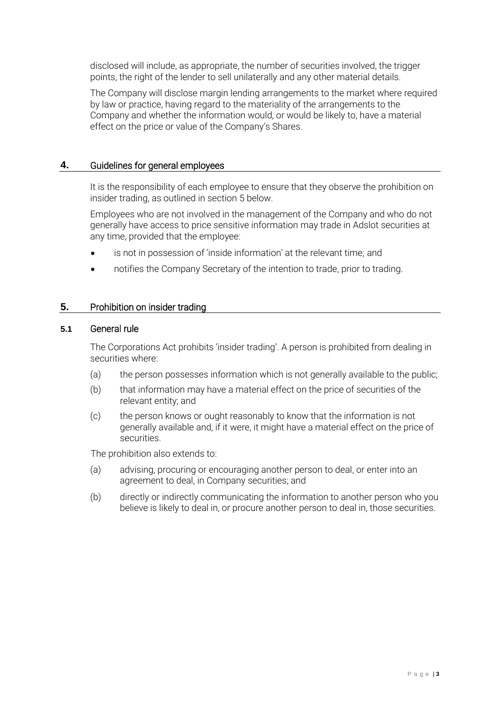disclosed will include, as appropriate, the number of securities involved, the trigger points, the right of the lender to sell unilaterally and any other material details.

The Company will disclose margin lending arrangements to the market where required by law or practice, having regard to the materiality of the arrangements to the Company and whether the information would, or would be likely to, have a material effect on the price or value of the Company's Shares.

# **4.** Guidelines for general employees

It is the responsibility of each employee to ensure that they observe the prohibition on insider trading, as outlined in section [5](#page-2-0) below.

Employees who are not involved in the management of the Company and who do not generally have access to price sensitive information may trade in Adslot securities at any time, provided that the employee:

- is not in possession of 'inside information' at the relevant time; and
- notifies the Company Secretary of the intention to trade, prior to trading.

# <span id="page-2-0"></span>**5.** Prohibition on insider trading

# **5.1** General rule

The Corporations Act prohibits 'insider trading'. A person is prohibited from dealing in securities where:

- (a) the person possesses information which is not generally available to the public;
- (b) that information may have a material effect on the price of securities of the relevant entity; and
- (c) the person knows or ought reasonably to know that the information is not generally available and, if it were, it might have a material effect on the price of securities.

The prohibition also extends to:

- (a) advising, procuring or encouraging another person to deal, or enter into an agreement to deal, in Company securities; and
- (b) directly or indirectly communicating the information to another person who you believe is likely to deal in, or procure another person to deal in, those securities.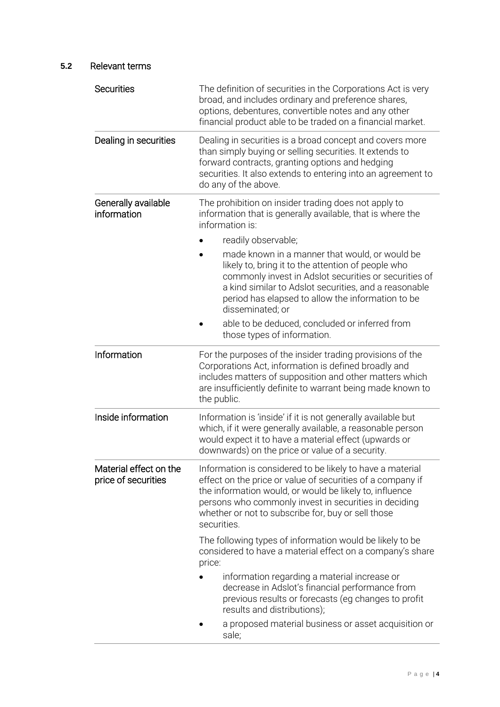# **5.2** Relevant terms

| <b>Securities</b>                             | The definition of securities in the Corporations Act is very<br>broad, and includes ordinary and preference shares,<br>options, debentures, convertible notes and any other<br>financial product able to be traded on a financial market.                                                                        |
|-----------------------------------------------|------------------------------------------------------------------------------------------------------------------------------------------------------------------------------------------------------------------------------------------------------------------------------------------------------------------|
| Dealing in securities                         | Dealing in securities is a broad concept and covers more<br>than simply buying or selling securities. It extends to<br>forward contracts, granting options and hedging<br>securities. It also extends to entering into an agreement to<br>do any of the above.                                                   |
| Generally available<br>information            | The prohibition on insider trading does not apply to<br>information that is generally available, that is where the<br>information is:                                                                                                                                                                            |
|                                               | readily observable;                                                                                                                                                                                                                                                                                              |
|                                               | made known in a manner that would, or would be<br>likely to, bring it to the attention of people who<br>commonly invest in Adslot securities or securities of<br>a kind similar to Adslot securities, and a reasonable<br>period has elapsed to allow the information to be<br>disseminated; or                  |
|                                               | able to be deduced, concluded or inferred from<br>those types of information.                                                                                                                                                                                                                                    |
| Information                                   | For the purposes of the insider trading provisions of the<br>Corporations Act, information is defined broadly and<br>includes matters of supposition and other matters which<br>are insufficiently definite to warrant being made known to<br>the public.                                                        |
| Inside information                            | Information is 'inside' if it is not generally available but<br>which, if it were generally available, a reasonable person<br>would expect it to have a material effect (upwards or<br>downwards) on the price or value of a security.                                                                           |
| Material effect on the<br>price of securities | Information is considered to be likely to have a material<br>effect on the price or value of securities of a company if<br>the information would, or would be likely to, influence<br>persons who commonly invest in securities in deciding<br>whether or not to subscribe for, buy or sell those<br>securities. |
|                                               | The following types of information would be likely to be<br>considered to have a material effect on a company's share<br>price:                                                                                                                                                                                  |
|                                               | information regarding a material increase or<br>decrease in Adslot's financial performance from<br>previous results or forecasts (eg changes to profit<br>results and distributions);                                                                                                                            |
|                                               | a proposed material business or asset acquisition or<br>sale;                                                                                                                                                                                                                                                    |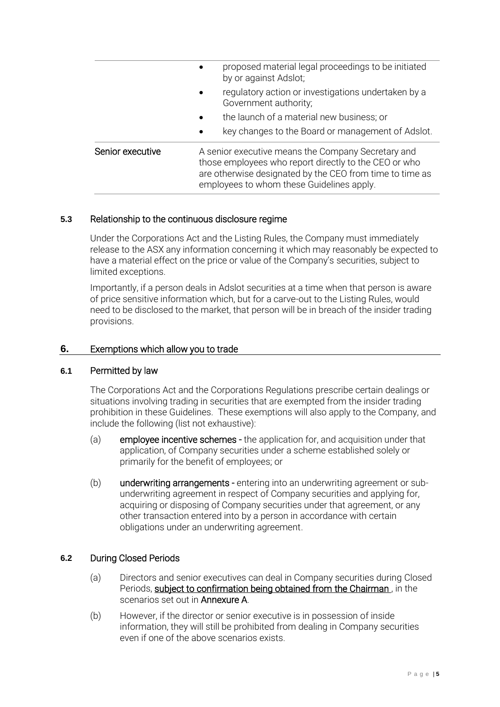|                  | proposed material legal proceedings to be initiated<br>by or against Adslot;                                                                                                                                         |
|------------------|----------------------------------------------------------------------------------------------------------------------------------------------------------------------------------------------------------------------|
|                  | regulatory action or investigations undertaken by a<br>$\bullet$<br>Government authority;                                                                                                                            |
|                  | the launch of a material new business; or                                                                                                                                                                            |
|                  | key changes to the Board or management of Adslot.<br>$\bullet$                                                                                                                                                       |
| Senior executive | A senior executive means the Company Secretary and<br>those employees who report directly to the CEO or who<br>are otherwise designated by the CEO from time to time as<br>employees to whom these Guidelines apply. |

# **5.3** Relationship to the continuous disclosure regime

Under the Corporations Act and the Listing Rules, the Company must immediately release to the ASX any information concerning it which may reasonably be expected to have a material effect on the price or value of the Company's securities, subject to limited exceptions.

Importantly, if a person deals in Adslot securities at a time when that person is aware of price sensitive information which, but for a carve-out to the Listing Rules, would need to be disclosed to the market, that person will be in breach of the insider trading provisions.

# **6.** Exemptions which allow you to trade

# **6.1** Permitted by law

The Corporations Act and the Corporations Regulations prescribe certain dealings or situations involving trading in securities that are exempted from the insider trading prohibition in these Guidelines. These exemptions will also apply to the Company, and include the following (list not exhaustive):

- (a) employee incentive schemes the application for, and acquisition under that application, of Company securities under a scheme established solely or primarily for the benefit of employees; or
- (b) underwriting arrangements entering into an underwriting agreement or subunderwriting agreement in respect of Company securities and applying for, acquiring or disposing of Company securities under that agreement, or any other transaction entered into by a person in accordance with certain obligations under an underwriting agreement.

# **6.2** During Closed Periods

- (a) Directors and senior executives can deal in Company securities during Closed Periods, subject to confirmation being obtained from the Chairman, in the scenarios set out in Annexure A.
- (b) However, if the director or senior executive is in possession of inside information, they will still be prohibited from dealing in Company securities even if one of the above scenarios exists.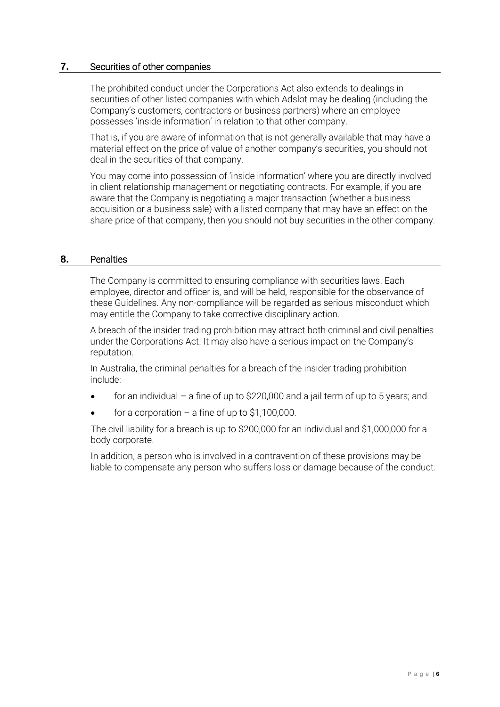# **7.** Securities of other companies

The prohibited conduct under the Corporations Act also extends to dealings in securities of other listed companies with which Adslot may be dealing (including the Company's customers, contractors or business partners) where an employee possesses 'inside information' in relation to that other company.

That is, if you are aware of information that is not generally available that may have a material effect on the price of value of another company's securities, you should not deal in the securities of that company.

You may come into possession of 'inside information' where you are directly involved in client relationship management or negotiating contracts. For example, if you are aware that the Company is negotiating a major transaction (whether a business acquisition or a business sale) with a listed company that may have an effect on the share price of that company, then you should not buy securities in the other company.

# <span id="page-5-0"></span>**8.** Penalties

The Company is committed to ensuring compliance with securities laws. Each employee, director and officer is, and will be held, responsible for the observance of these Guidelines. Any non-compliance will be regarded as serious misconduct which may entitle the Company to take corrective disciplinary action.

A breach of the insider trading prohibition may attract both criminal and civil penalties under the Corporations Act. It may also have a serious impact on the Company's reputation.

In Australia, the criminal penalties for a breach of the insider trading prohibition include:

- for an individual a fine of up to  $$220,000$  and a jail term of up to 5 years; and
- for a corporation  $-$  a fine of up to \$1,100,000.

The civil liability for a breach is up to \$200,000 for an individual and \$1,000,000 for a body corporate.

In addition, a person who is involved in a contravention of these provisions may be liable to compensate any person who suffers loss or damage because of the conduct.